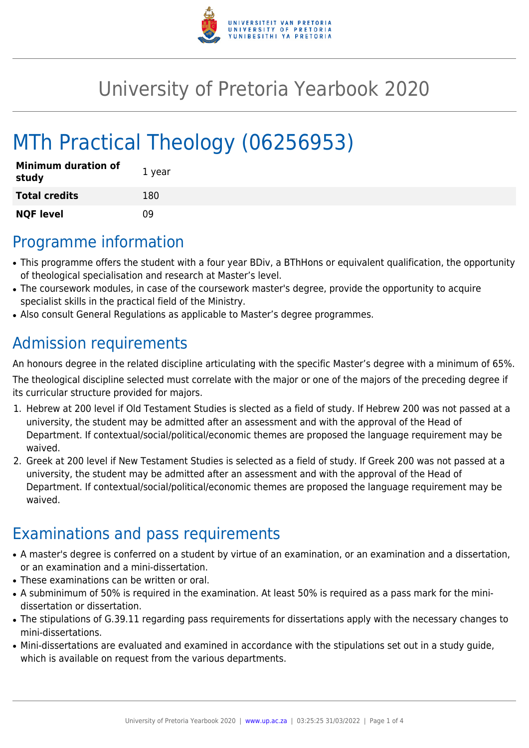

# University of Pretoria Yearbook 2020

# MTh Practical Theology (06256953)

| <b>Minimum duration of</b><br>study | 1 year |
|-------------------------------------|--------|
| <b>Total credits</b>                | 180    |
| <b>NQF level</b>                    | n۹     |

## Programme information

- This programme offers the student with a four year BDiv, a BThHons or equivalent qualification, the opportunity of theological specialisation and research at Master's level.
- The coursework modules, in case of the coursework master's degree, provide the opportunity to acquire specialist skills in the practical field of the Ministry.
- Also consult General Regulations as applicable to Master's degree programmes.

# Admission requirements

An honours degree in the related discipline articulating with the specific Master's degree with a minimum of 65%.

The theological discipline selected must correlate with the major or one of the majors of the preceding degree if its curricular structure provided for majors.

- 1. Hebrew at 200 level if Old Testament Studies is slected as a field of study. If Hebrew 200 was not passed at a university, the student may be admitted after an assessment and with the approval of the Head of Department. If contextual/social/political/economic themes are proposed the language requirement may be waived.
- 2. Greek at 200 level if New Testament Studies is selected as a field of study. If Greek 200 was not passed at a university, the student may be admitted after an assessment and with the approval of the Head of Department. If contextual/social/political/economic themes are proposed the language requirement may be waived.

## Examinations and pass requirements

- A master's degree is conferred on a student by virtue of an examination, or an examination and a dissertation, or an examination and a mini-dissertation.
- These examinations can be written or oral.
- A subminimum of 50% is required in the examination. At least 50% is required as a pass mark for the minidissertation or dissertation.
- The stipulations of G.39.11 regarding pass requirements for dissertations apply with the necessary changes to mini-dissertations.
- Mini-dissertations are evaluated and examined in accordance with the stipulations set out in a study guide, which is available on request from the various departments.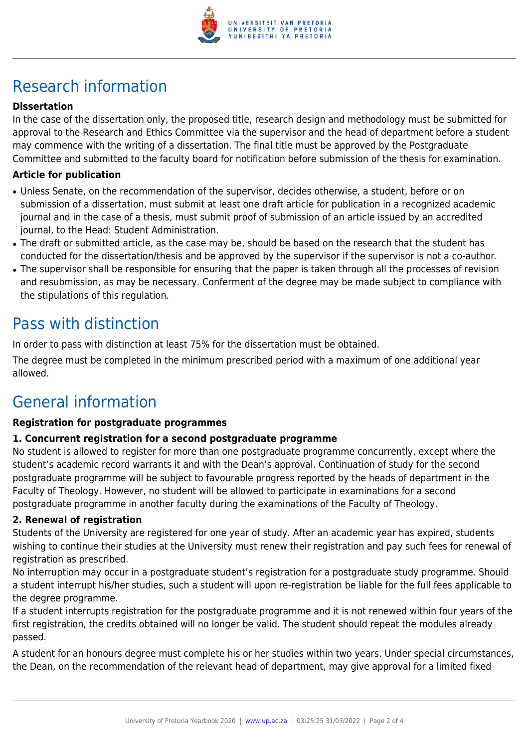

# Research information

### **Dissertation**

In the case of the dissertation only, the proposed title, research design and methodology must be submitted for approval to the Research and Ethics Committee via the supervisor and the head of department before a student may commence with the writing of a dissertation. The final title must be approved by the Postgraduate Committee and submitted to the faculty board for notification before submission of the thesis for examination.

### **Article for publication**

- Unless Senate, on the recommendation of the supervisor, decides otherwise, a student, before or on submission of a dissertation, must submit at least one draft article for publication in a recognized academic journal and in the case of a thesis, must submit proof of submission of an article issued by an accredited journal, to the Head: Student Administration.
- The draft or submitted article, as the case may be, should be based on the research that the student has conducted for the dissertation/thesis and be approved by the supervisor if the supervisor is not a co-author.
- The supervisor shall be responsible for ensuring that the paper is taken through all the processes of revision and resubmission, as may be necessary. Conferment of the degree may be made subject to compliance with the stipulations of this regulation.

### Pass with distinction

In order to pass with distinction at least 75% for the dissertation must be obtained.

The degree must be completed in the minimum prescribed period with a maximum of one additional year allowed.

### General information

#### **Registration for postgraduate programmes**

#### **1. Concurrent registration for a second postgraduate programme**

No student is allowed to register for more than one postgraduate programme concurrently, except where the student's academic record warrants it and with the Dean's approval. Continuation of study for the second postgraduate programme will be subject to favourable progress reported by the heads of department in the Faculty of Theology. However, no student will be allowed to participate in examinations for a second postgraduate programme in another faculty during the examinations of the Faculty of Theology.

#### **2. Renewal of registration**

Students of the University are registered for one year of study. After an academic year has expired, students wishing to continue their studies at the University must renew their registration and pay such fees for renewal of registration as prescribed.

No interruption may occur in a postgraduate student's registration for a postgraduate study programme. Should a student interrupt his/her studies, such a student will upon re-registration be liable for the full fees applicable to the degree programme.

If a student interrupts registration for the postgraduate programme and it is not renewed within four years of the first registration, the credits obtained will no longer be valid. The student should repeat the modules already passed.

A student for an honours degree must complete his or her studies within two years. Under special circumstances, the Dean, on the recommendation of the relevant head of department, may give approval for a limited fixed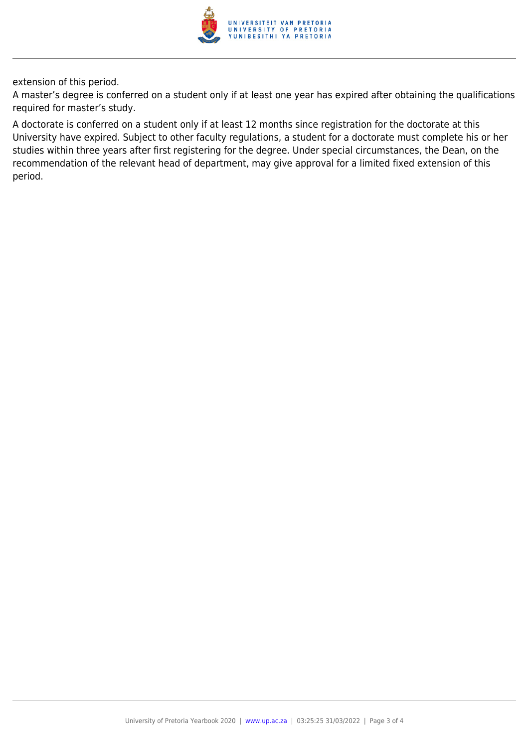

extension of this period.

A master's degree is conferred on a student only if at least one year has expired after obtaining the qualifications required for master's study.

A doctorate is conferred on a student only if at least 12 months since registration for the doctorate at this University have expired. Subject to other faculty regulations, a student for a doctorate must complete his or her studies within three years after first registering for the degree. Under special circumstances, the Dean, on the recommendation of the relevant head of department, may give approval for a limited fixed extension of this period.